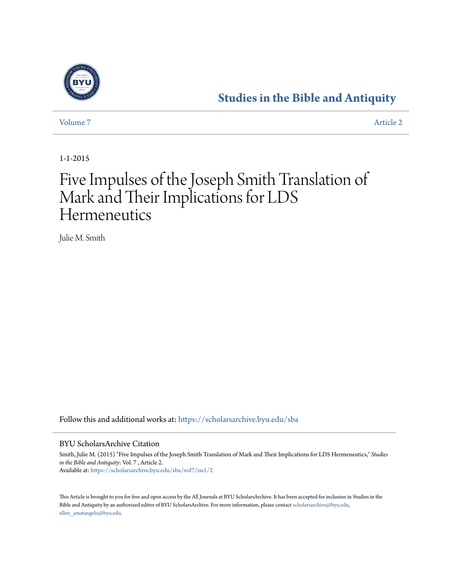

[Volume 7](https://scholarsarchive.byu.edu/sba/vol7?utm_source=scholarsarchive.byu.edu%2Fsba%2Fvol7%2Fiss1%2F2&utm_medium=PDF&utm_campaign=PDFCoverPages) [Article 2](https://scholarsarchive.byu.edu/sba/vol7/iss1/2?utm_source=scholarsarchive.byu.edu%2Fsba%2Fvol7%2Fiss1%2F2&utm_medium=PDF&utm_campaign=PDFCoverPages)

1-1-2015

# Five Impulses of the Joseph Smith Translation of Mark and Their Implications for LDS **Hermeneutics**

Julie M. Smith

Follow this and additional works at: [https://scholarsarchive.byu.edu/sba](https://scholarsarchive.byu.edu/sba?utm_source=scholarsarchive.byu.edu%2Fsba%2Fvol7%2Fiss1%2F2&utm_medium=PDF&utm_campaign=PDFCoverPages)

#### BYU ScholarsArchive Citation

Smith, Julie M. (2015) "Five Impulses of the Joseph Smith Translation of Mark and Their Implications for LDS Hermeneutics," *Studies in the Bible and Antiquity*: Vol. 7 , Article 2. Available at: [https://scholarsarchive.byu.edu/sba/vol7/iss1/2](https://scholarsarchive.byu.edu/sba/vol7/iss1/2?utm_source=scholarsarchive.byu.edu%2Fsba%2Fvol7%2Fiss1%2F2&utm_medium=PDF&utm_campaign=PDFCoverPages)

This Article is brought to you for free and open access by the All Journals at BYU ScholarsArchive. It has been accepted for inclusion in Studies in the Bible and Antiquity by an authorized editor of BYU ScholarsArchive. For more information, please contact [scholarsarchive@byu.edu,](mailto:scholarsarchive@byu.edu,%20ellen_amatangelo@byu.edu) [ellen\\_amatangelo@byu.edu.](mailto:scholarsarchive@byu.edu,%20ellen_amatangelo@byu.edu)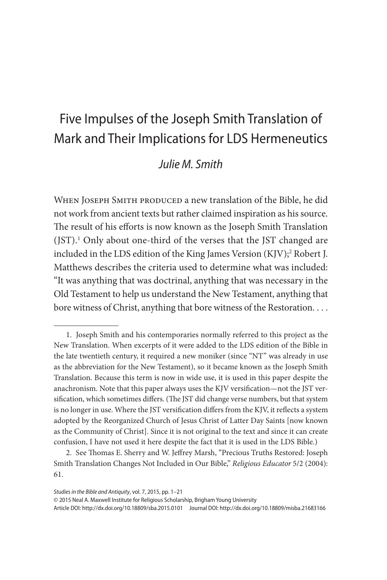# Five Impulses of the Joseph Smith Translation of Mark and Their Implications for LDS Hermeneutics

# *Julie M. Smith*

WHEN JOSEPH SMITH PRODUCED a new translation of the Bible, he did not work from ancient texts but rather claimed inspiration as his source. The result of his efforts is now known as the Joseph Smith Translation (JST).1 Only about one-third of the verses that the JST changed are included in the LDS edition of the King James Version (KJV);<sup>2</sup> Robert J. Matthews describes the criteria used to determine what was included: "It was anything that was doctrinal, anything that was necessary in the Old Testament to help us understand the New Testament, anything that bore witness of Christ, anything that bore witness of the Restoration. . . .

© 2015 Neal A. Maxwell Institute for Religious Scholarship, Brigham Young University

Article DOI: http://dx.doi.org/10.18809/sba.2015.0101 Journal DOI: http://dx.doi.org/10.18809/misba.21683166

<sup>1.</sup> Joseph Smith and his contemporaries normally referred to this project as the New Translation. When excerpts of it were added to the LDS edition of the Bible in the late twentieth century, it required a new moniker (since "NT" was already in use as the abbreviation for the New Testament), so it became known as the Joseph Smith Translation. Because this term is now in wide use, it is used in this paper despite the anachronism. Note that this paper always uses the KJV versification—not the JST versification, which sometimes differs. (The JST did change verse numbers, but that system is no longer in use. Where the JST versification differs from the KJV, it reflects a system adopted by the Reorganized Church of Jesus Christ of Latter Day Saints [now known as the Community of Christ]. Since it is not original to the text and since it can create confusion, I have not used it here despite the fact that it is used in the LDS Bible.)

<sup>2.</sup> See Thomas E. Sherry and W. Jeffrey Marsh, "Precious Truths Restored: Joseph Smith Translation Changes Not Included in Our Bible," *Religious Educator* 5/2 (2004): 61.

*Studies in the Bible and Antiquity*, vol. 7, 2015, pp. 1–21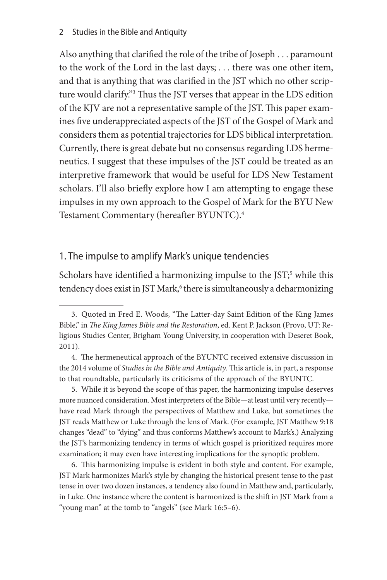Also anything that clarified the role of the tribe of Joseph . . . paramount to the work of the Lord in the last days; . . . there was one other item, and that is anything that was clarified in the JST which no other scripture would clarify."3 Thus the JST verses that appear in the LDS edition of the KJV are not a representative sample of the JST. This paper examines five underappreciated aspects of the JST of the Gospel of Mark and considers them as potential trajectories for LDS biblical interpretation. Currently, there is great debate but no consensus regarding LDS hermeneutics. I suggest that these impulses of the JST could be treated as an interpretive framework that would be useful for LDS New Testament scholars. I'll also briefly explore how I am attempting to engage these impulses in my own approach to the Gospel of Mark for the BYU New Testament Commentary (hereafter BYUNTC).4

## 1. The impulse to amplify Mark's unique tendencies

Scholars have identified a harmonizing impulse to the JST;<sup>5</sup> while this tendency does exist in JST Mark,<sup>6</sup> there is simultaneously a deharmonizing

5. While it is beyond the scope of this paper, the harmonizing impulse deserves more nuanced consideration. Most interpreters of the Bible—at least until very recently have read Mark through the perspectives of Matthew and Luke, but sometimes the JST reads Matthew or Luke through the lens of Mark. (For example, JST Matthew 9:18 changes "dead" to "dying" and thus conforms Matthew's account to Mark's.) Analyzing the JST's harmonizing tendency in terms of which gospel is prioritized requires more examination; it may even have interesting implications for the synoptic problem.

6. This harmonizing impulse is evident in both style and content. For example, JST Mark harmonizes Mark's style by changing the historical present tense to the past tense in over two dozen instances, a tendency also found in Matthew and, particularly, in Luke. One instance where the content is harmonized is the shift in JST Mark from a "young man" at the tomb to "angels" (see Mark 16:5–6).

<sup>3.</sup> Quoted in Fred E. Woods, "The Latter-day Saint Edition of the King James Bible," in *The King James Bible and the Restoration*, ed. Kent P. Jackson (Provo, UT: Religious Studies Center, Brigham Young University, in cooperation with Deseret Book, 2011).

<sup>4.</sup> The hermeneutical approach of the BYUNTC received extensive discussion in the 2014 volume of *Studies in the Bible and Antiquity*. This article is, in part, a response to that roundtable, particularly its criticisms of the approach of the BYUNTC.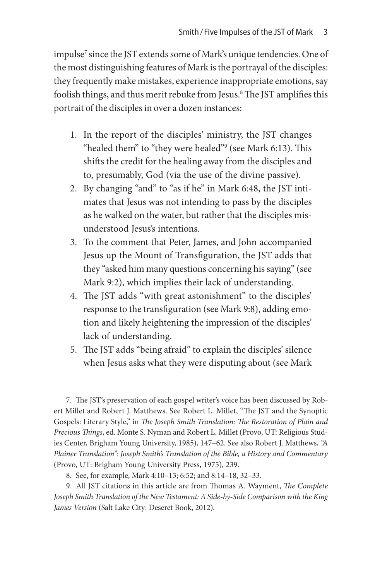impulse<sup>7</sup> since the JST extends some of Mark's unique tendencies. One of the most distinguishing features of Mark is the portrayal of the disciples: they frequently make mistakes, experience inappropriate emotions, say foolish things, and thus merit rebuke from Jesus.<sup>8</sup> The JST amplifies this portrait of the disciples in over a dozen instances:

- 1. In the report of the disciples' ministry, the JST changes "healed them" to "they were healed"<sup>9</sup> (see Mark 6:13). This shifts the credit for the healing away from the disciples and to, presumably, God (via the use of the divine passive).
- 2. By changing "and" to "as if he" in Mark 6:48, the JST intimates that Jesus was not intending to pass by the disciples as he walked on the water, but rather that the disciples misunderstood Jesus's intentions.
- 3. To the comment that Peter, James, and John accompanied Jesus up the Mount of Transfiguration, the JST adds that they "asked him many questions concerning his saying" (see Mark 9:2), which implies their lack of understanding.
- 4. The JST adds "with great astonishment" to the disciples' response to the transfiguration (see Mark 9:8), adding emotion and likely heightening the impression of the disciples' lack of understanding.
- 5. The JST adds "being afraid" to explain the disciples' silence when Jesus asks what they were disputing about (see Mark

<sup>7.</sup> The JST's preservation of each gospel writer's voice has been discussed by Robert Millet and Robert J. Matthews. See Robert L. Millet, "The JST and the Synoptic Gospels: Literary Style," in *The Joseph Smith Translation: The Restoration of Plain and Precious Things*, ed. Monte S. Nyman and Robert L. Millet (Provo, UT: Religious Studies Center, Brigham Young University, 1985), 147–62. See also Robert J. Matthews, *"A Plainer Translation": Joseph Smith's Translation of the Bible, a History and Commentary* (Provo, UT: Brigham Young University Press, 1975), 239.

<sup>8.</sup> See, for example, Mark 4:10–13; 6:52; and 8:14–18, 32–33.

<sup>9.</sup> All JST citations in this article are from Thomas A. Wayment, *The Complete Joseph Smith Translation of the New Testament: A Side-by-Side Comparison with the King James Version* (Salt Lake City: Deseret Book, 2012).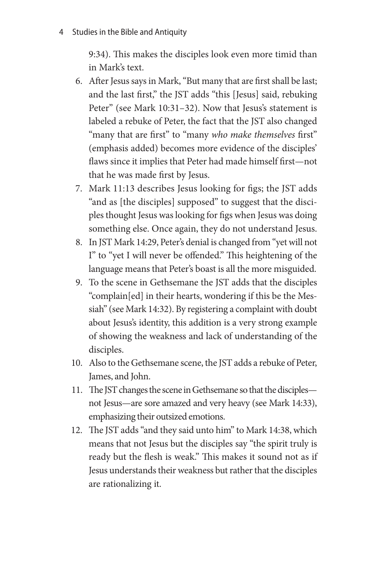9:34). This makes the disciples look even more timid than in Mark's text.

- 6. After Jesus says in Mark, "But many that are first shall be last; and the last first," the JST adds "this [Jesus] said, rebuking Peter" (see Mark 10:31-32). Now that Jesus's statement is labeled a rebuke of Peter, the fact that the JST also changed "many that are first" to "many *who make themselves* first" (emphasis added) becomes more evidence of the disciples' flaws since it implies that Peter had made himself first—not that he was made first by Jesus.
- 7. Mark 11:13 describes Jesus looking for figs; the JST adds "and as [the disciples] supposed" to suggest that the disciples thought Jesus was looking for figs when Jesus was doing something else. Once again, they do not understand Jesus.
- 8. In JST Mark 14:29, Peter's denial is changed from "yet will not I" to "yet I will never be offended." This heightening of the language means that Peter's boast is all the more misguided.
- 9. To the scene in Gethsemane the JST adds that the disciples "complain[ed] in their hearts, wondering if this be the Messiah" (see Mark 14:32). By registering a complaint with doubt about Jesus's identity, this addition is a very strong example of showing the weakness and lack of understanding of the disciples.
- 10. Also to the Gethsemane scene, the JST adds a rebuke of Peter, James, and John.
- 11. The JST changes the scene in Gethsemane so that the disciples not Jesus—are sore amazed and very heavy (see Mark 14:33), emphasizing their outsized emotions.
- 12. The JST adds "and they said unto him" to Mark 14:38, which means that not Jesus but the disciples say "the spirit truly is ready but the flesh is weak." This makes it sound not as if Jesus understands their weakness but rather that the disciples are rationalizing it.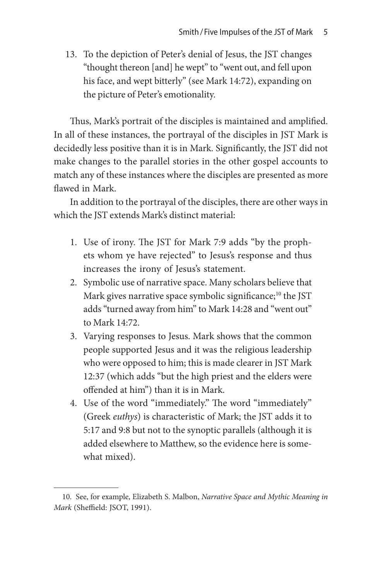13. To the depiction of Peter's denial of Jesus, the JST changes "thought thereon [and] he wept" to "went out, and fell upon his face, and wept bitterly" (see Mark 14:72), expanding on the picture of Peter's emotionality.

Thus, Mark's portrait of the disciples is maintained and amplified. In all of these instances, the portrayal of the disciples in JST Mark is decidedly less positive than it is in Mark. Significantly, the JST did not make changes to the parallel stories in the other gospel accounts to match any of these instances where the disciples are presented as more flawed in Mark.

In addition to the portrayal of the disciples, there are other ways in which the JST extends Mark's distinct material:

- 1. Use of irony. The JST for Mark 7:9 adds "by the prophets whom ye have rejected" to Jesus's response and thus increases the irony of Jesus's statement.
- 2. Symbolic use of narrative space. Many scholars believe that Mark gives narrative space symbolic significance;<sup>10</sup> the JST adds "turned away from him" to Mark 14:28 and "went out" to Mark 14:72.
- 3. Varying responses to Jesus. Mark shows that the common people supported Jesus and it was the religious leadership who were opposed to him; this is made clearer in JST Mark 12:37 (which adds "but the high priest and the elders were offended at him") than it is in Mark.
- 4. Use of the word "immediately." The word "immediately" (Greek *euthys*) is characteristic of Mark; the JST adds it to 5:17 and 9:8 but not to the synoptic parallels (although it is added elsewhere to Matthew, so the evidence here is somewhat mixed).

<sup>10.</sup> See, for example, Elizabeth S. Malbon, *Narrative Space and Mythic Meaning in Mark* (Sheffield: JSOT, 1991).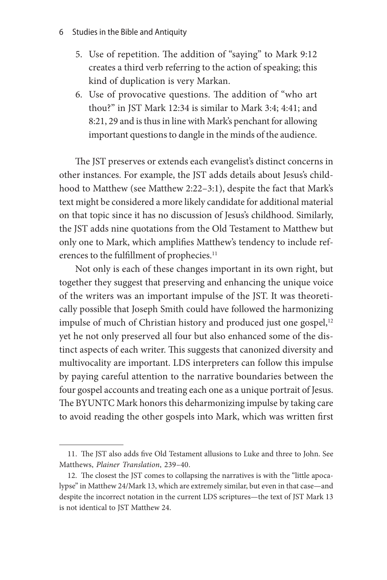- 6 Studies in the Bible and Antiquity
	- 5. Use of repetition. The addition of "saying" to Mark 9:12 creates a third verb referring to the action of speaking; this kind of duplication is very Markan.
	- 6. Use of provocative questions. The addition of "who art thou?" in JST Mark 12:34 is similar to Mark 3:4; 4:41; and 8:21, 29 and is thus in line with Mark's penchant for allowing important questions to dangle in the minds of the audience.

The JST preserves or extends each evangelist's distinct concerns in other instances. For example, the JST adds details about Jesus's childhood to Matthew (see Matthew 2:22–3:1), despite the fact that Mark's text might be considered a more likely candidate for additional material on that topic since it has no discussion of Jesus's childhood. Similarly, the JST adds nine quotations from the Old Testament to Matthew but only one to Mark, which amplifies Matthew's tendency to include references to the fulfillment of prophecies.<sup>11</sup>

Not only is each of these changes important in its own right, but together they suggest that preserving and enhancing the unique voice of the writers was an important impulse of the JST. It was theoretically possible that Joseph Smith could have followed the harmonizing impulse of much of Christian history and produced just one gospel,<sup>12</sup> yet he not only preserved all four but also enhanced some of the distinct aspects of each writer. This suggests that canonized diversity and multivocality are important. LDS interpreters can follow this impulse by paying careful attention to the narrative boundaries between the four gospel accounts and treating each one as a unique portrait of Jesus. The BYUNTC Mark honors this deharmonizing impulse by taking care to avoid reading the other gospels into Mark, which was written first

<sup>11.</sup> The JST also adds five Old Testament allusions to Luke and three to John. See Matthews, *Plainer Translation*, 239–40.

<sup>12.</sup> The closest the JST comes to collapsing the narratives is with the "little apocalypse" in Matthew 24/Mark 13, which are extremely similar, but even in that case—and despite the incorrect notation in the current LDS scriptures—the text of JST Mark 13 is not identical to JST Matthew 24.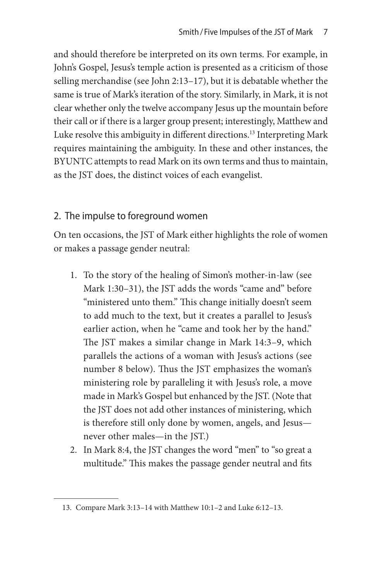and should therefore be interpreted on its own terms. For example, in John's Gospel, Jesus's temple action is presented as a criticism of those selling merchandise (see John 2:13–17), but it is debatable whether the same is true of Mark's iteration of the story. Similarly, in Mark, it is not clear whether only the twelve accompany Jesus up the mountain before their call or if there is a larger group present; interestingly, Matthew and Luke resolve this ambiguity in different directions.<sup>13</sup> Interpreting Mark requires maintaining the ambiguity. In these and other instances, the BYUNTC attempts to read Mark on its own terms and thus to maintain, as the JST does, the distinct voices of each evangelist.

# 2. The impulse to foreground women

On ten occasions, the JST of Mark either highlights the role of women or makes a passage gender neutral:

- 1. To the story of the healing of Simon's mother-in-law (see Mark 1:30–31), the JST adds the words "came and" before "ministered unto them." This change initially doesn't seem to add much to the text, but it creates a parallel to Jesus's earlier action, when he "came and took her by the hand." The JST makes a similar change in Mark 14:3–9, which parallels the actions of a woman with Jesus's actions (see number 8 below). Thus the JST emphasizes the woman's ministering role by paralleling it with Jesus's role, a move made in Mark's Gospel but enhanced by the JST. (Note that the JST does not add other instances of ministering, which is therefore still only done by women, angels, and Jesus never other males—in the JST.)
- 2. In Mark 8:4, the JST changes the word "men" to "so great a multitude." This makes the passage gender neutral and fits

<sup>13.</sup> Compare Mark 3:13–14 with Matthew 10:1–2 and Luke 6:12–13.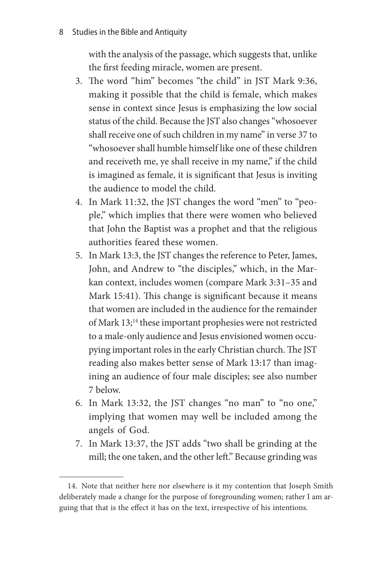with the analysis of the passage, which suggests that, unlike the first feeding miracle, women are present.

- 3. The word "him" becomes "the child" in JST Mark 9:36, making it possible that the child is female, which makes sense in context since Jesus is emphasizing the low social status of the child. Because the JST also changes "whosoever shall receive one of such children in my name" in verse 37 to "whosoever shall humble himself like one of these children and receiveth me, ye shall receive in my name," if the child is imagined as female, it is significant that Jesus is inviting the audience to model the child.
- 4. In Mark 11:32, the JST changes the word "men" to "people," which implies that there were women who believed that John the Baptist was a prophet and that the religious authorities feared these women.
- 5. In Mark 13:3, the JST changes the reference to Peter, James, John, and Andrew to "the disciples," which, in the Markan context, includes women (compare Mark 3:31–35 and Mark 15:41). This change is significant because it means that women are included in the audience for the remainder of Mark 13;<sup>14</sup> these important prophesies were not restricted to a male-only audience and Jesus envisioned women occupying important roles in the early Christian church. The JST reading also makes better sense of Mark 13:17 than imagining an audience of four male disciples; see also number 7 below.
- 6. In Mark 13:32, the JST changes "no man" to "no one," implying that women may well be included among the angels of God.
- 7. In Mark 13:37, the JST adds "two shall be grinding at the mill; the one taken, and the other left." Because grinding was

<sup>14.</sup> Note that neither here nor elsewhere is it my contention that Joseph Smith deliberately made a change for the purpose of foregrounding women; rather I am arguing that that is the effect it has on the text, irrespective of his intentions.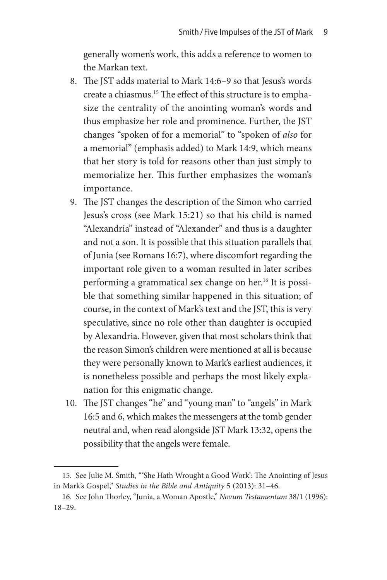generally women's work, this adds a reference to women to the Markan text.

- 8. The JST adds material to Mark 14:6–9 so that Jesus's words create a chiasmus.15 The effect of this structure is to emphasize the centrality of the anointing woman's words and thus emphasize her role and prominence. Further, the JST changes "spoken of for a memorial" to "spoken of *also* for a memorial" (emphasis added) to Mark 14:9, which means that her story is told for reasons other than just simply to memorialize her. This further emphasizes the woman's importance.
- 9. The JST changes the description of the Simon who carried Jesus's cross (see Mark 15:21) so that his child is named "Alexandria" instead of "Alexander" and thus is a daughter and not a son. It is possible that this situation parallels that of Junia (see Romans 16:7), where discomfort regarding the important role given to a woman resulted in later scribes performing a grammatical sex change on her.16 It is possible that something similar happened in this situation; of course, in the context of Mark's text and the JST, this is very speculative, since no role other than daughter is occupied by Alexandria. However, given that most scholars think that the reason Simon's children were mentioned at all is because they were personally known to Mark's earliest audiences, it is nonetheless possible and perhaps the most likely explanation for this enigmatic change.
- 10. The JST changes "he" and "young man" to "angels" in Mark 16:5 and 6, which makes the messengers at the tomb gender neutral and, when read alongside JST Mark 13:32, opens the possibility that the angels were female.

<sup>15.</sup> See Julie M. Smith, "'She Hath Wrought a Good Work': The Anointing of Jesus in Mark's Gospel," *Studies in the Bible and Antiquity* 5 (2013): 31–46.

<sup>16.</sup> See John Thorley, "Junia, a Woman Apostle," *Novum Testamentum* 38/1 (1996): 18–29.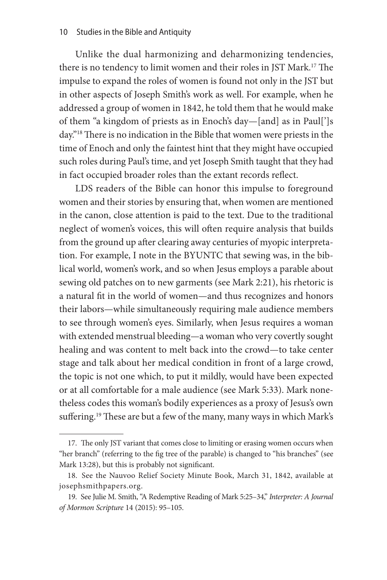Unlike the dual harmonizing and deharmonizing tendencies, there is no tendency to limit women and their roles in JST Mark.<sup>17</sup> The impulse to expand the roles of women is found not only in the JST but in other aspects of Joseph Smith's work as well. For example, when he addressed a group of women in 1842, he told them that he would make of them "a kingdom of priests as in Enoch's day—[and] as in Paul[']s day."18 There is no indication in the Bible that women were priests in the time of Enoch and only the faintest hint that they might have occupied such roles during Paul's time, and yet Joseph Smith taught that they had in fact occupied broader roles than the extant records reflect.

LDS readers of the Bible can honor this impulse to foreground women and their stories by ensuring that, when women are mentioned in the canon, close attention is paid to the text. Due to the traditional neglect of women's voices, this will often require analysis that builds from the ground up after clearing away centuries of myopic interpretation. For example, I note in the BYUNTC that sewing was, in the biblical world, women's work, and so when Jesus employs a parable about sewing old patches on to new garments (see Mark 2:21), his rhetoric is a natural fit in the world of women—and thus recognizes and honors their labors—while simultaneously requiring male audience members to see through women's eyes. Similarly, when Jesus requires a woman with extended menstrual bleeding—a woman who very covertly sought healing and was content to melt back into the crowd—to take center stage and talk about her medical condition in front of a large crowd, the topic is not one which, to put it mildly, would have been expected or at all comfortable for a male audience (see Mark 5:33). Mark nonetheless codes this woman's bodily experiences as a proxy of Jesus's own suffering.<sup>19</sup> These are but a few of the many, many ways in which Mark's

<sup>17.</sup> The only JST variant that comes close to limiting or erasing women occurs when "her branch" (referring to the fig tree of the parable) is changed to "his branches" (see Mark 13:28), but this is probably not significant.

<sup>18.</sup> See the Nauvoo Relief Society Minute Book, March 31, 1842, available at josephsmithpapers.org.

<sup>19.</sup> See Julie M. Smith, "A Redemptive Reading of Mark 5:25–34," *Interpreter: A Journal of Mormon Scripture* 14 (2015): 95–105.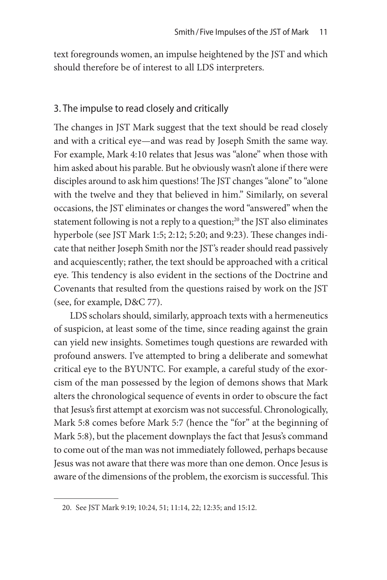text foregrounds women, an impulse heightened by the JST and which should therefore be of interest to all LDS interpreters.

## 3. The impulse to read closely and critically

The changes in JST Mark suggest that the text should be read closely and with a critical eye—and was read by Joseph Smith the same way. For example, Mark 4:10 relates that Jesus was "alone" when those with him asked about his parable. But he obviously wasn't alone if there were disciples around to ask him questions! The JST changes "alone" to "alone with the twelve and they that believed in him." Similarly, on several occasions, the JST eliminates or changes the word "answered" when the statement following is not a reply to a question;<sup>20</sup> the JST also eliminates hyperbole (see JST Mark 1:5; 2:12; 5:20; and 9:23). These changes indicate that neither Joseph Smith nor the JST's reader should read passively and acquiescently; rather, the text should be approached with a critical eye. This tendency is also evident in the sections of the Doctrine and Covenants that resulted from the questions raised by work on the JST (see, for example, D&C 77).

LDS scholars should, similarly, approach texts with a hermeneutics of suspicion, at least some of the time, since reading against the grain can yield new insights. Sometimes tough questions are rewarded with profound answers. I've attempted to bring a deliberate and somewhat critical eye to the BYUNTC. For example, a careful study of the exorcism of the man possessed by the legion of demons shows that Mark alters the chronological sequence of events in order to obscure the fact that Jesus's first attempt at exorcism was not successful. Chronologically, Mark 5:8 comes before Mark 5:7 (hence the "for" at the beginning of Mark 5:8), but the placement downplays the fact that Jesus's command to come out of the man was not immediately followed, perhaps because Jesus was not aware that there was more than one demon. Once Jesus is aware of the dimensions of the problem, the exorcism is successful. This

<sup>20.</sup> See JST Mark 9:19; 10:24, 51; 11:14, 22; 12:35; and 15:12.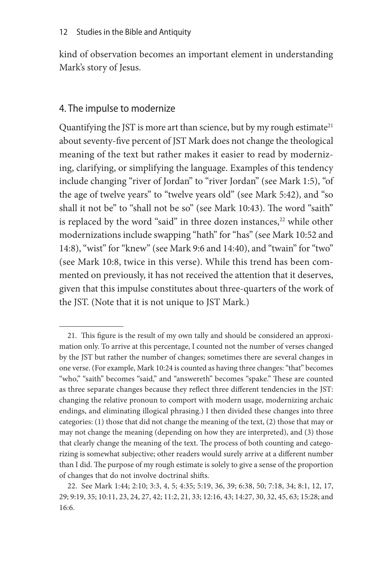kind of observation becomes an important element in understanding Mark's story of Jesus.

## 4. The impulse to modernize

Quantifying the JST is more art than science, but by my rough estimate<sup>21</sup> about seventy-five percent of JST Mark does not change the theological meaning of the text but rather makes it easier to read by modernizing, clarifying, or simplifying the language. Examples of this tendency include changing "river of Jordan" to "river Jordan" (see Mark 1:5), "of the age of twelve years" to "twelve years old" (see Mark 5:42), and "so shall it not be" to "shall not be so" (see Mark 10:43). The word "saith" is replaced by the word "said" in three dozen instances, $22$  while other modernizations include swapping "hath" for "has" (see Mark 10:52 and 14:8), "wist" for "knew" (see Mark 9:6 and 14:40), and "twain" for "two" (see Mark 10:8, twice in this verse). While this trend has been commented on previously, it has not received the attention that it deserves, given that this impulse constitutes about three-quarters of the work of the JST. (Note that it is not unique to JST Mark.)

<sup>21.</sup> This figure is the result of my own tally and should be considered an approximation only. To arrive at this percentage, I counted not the number of verses changed by the JST but rather the number of changes; sometimes there are several changes in one verse. (For example, Mark 10:24 is counted as having three changes: "that" becomes "who," "saith" becomes "said," and "answereth" becomes "spake." These are counted as three separate changes because they reflect three different tendencies in the JST: changing the relative pronoun to comport with modern usage, modernizing archaic endings, and eliminating illogical phrasing.) I then divided these changes into three categories: (1) those that did not change the meaning of the text, (2) those that may or may not change the meaning (depending on how they are interpreted), and (3) those that clearly change the meaning of the text. The process of both counting and categorizing is somewhat subjective; other readers would surely arrive at a different number than I did. The purpose of my rough estimate is solely to give a sense of the proportion of changes that do not involve doctrinal shifts.

<sup>22.</sup> See Mark 1:44; 2:10; 3:3, 4, 5; 4:35; 5:19, 36, 39; 6:38, 50; 7:18, 34; 8:1, 12, 17, 29; 9:19, 35; 10:11, 23, 24, 27, 42; 11:2, 21, 33; 12:16, 43; 14:27, 30, 32, 45, 63; 15:28; and 16:6.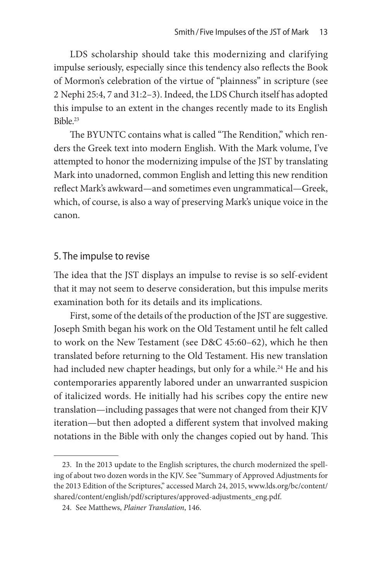LDS scholarship should take this modernizing and clarifying impulse seriously, especially since this tendency also reflects the Book of Mormon's celebration of the virtue of "plainness" in scripture (see 2 Nephi 25:4, 7 and 31:2–3). Indeed, the LDS Church itself has adopted this impulse to an extent in the changes recently made to its English Bible.23

The BYUNTC contains what is called "The Rendition," which renders the Greek text into modern English. With the Mark volume, I've attempted to honor the modernizing impulse of the JST by translating Mark into unadorned, common English and letting this new rendition reflect Mark's awkward—and sometimes even ungrammatical—Greek, which, of course, is also a way of preserving Mark's unique voice in the canon.

#### 5. The impulse to revise

The idea that the JST displays an impulse to revise is so self-evident that it may not seem to deserve consideration, but this impulse merits examination both for its details and its implications.

First, some of the details of the production of the JST are suggestive. Joseph Smith began his work on the Old Testament until he felt called to work on the New Testament (see D&C 45:60–62), which he then translated before returning to the Old Testament. His new translation had included new chapter headings, but only for a while.<sup>24</sup> He and his contemporaries apparently labored under an unwarranted suspicion of italicized words. He initially had his scribes copy the entire new translation—including passages that were not changed from their KJV iteration—but then adopted a different system that involved making notations in the Bible with only the changes copied out by hand. This

<sup>23.</sup> In the 2013 update to the English scriptures, the church modernized the spelling of about two dozen words in the KJV. See "Summary of Approved Adjustments for the 2013 Edition of the Scriptures," accessed March 24, 2015, www.lds.org/bc/content/ shared/content/english/pdf/scriptures/approved-adjustments\_eng.pdf.

<sup>24.</sup> See Matthews, *Plainer Translation*, 146.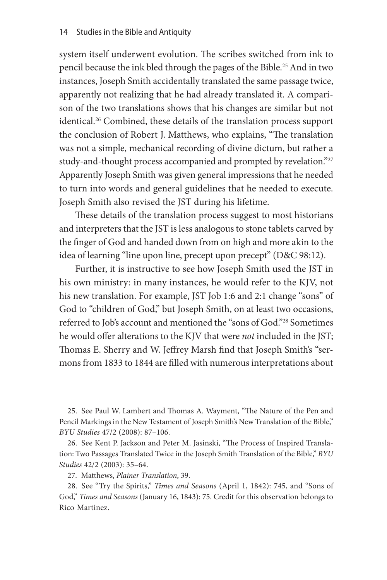system itself underwent evolution. The scribes switched from ink to pencil because the ink bled through the pages of the Bible.25 And in two instances, Joseph Smith accidentally translated the same passage twice, apparently not realizing that he had already translated it. A comparison of the two translations shows that his changes are similar but not identical.26 Combined, these details of the translation process support the conclusion of Robert J. Matthews, who explains, "The translation was not a simple, mechanical recording of divine dictum, but rather a study-and-thought process accompanied and prompted by revelation."27 Apparently Joseph Smith was given general impressions that he needed to turn into words and general guidelines that he needed to execute. Joseph Smith also revised the JST during his lifetime.

These details of the translation process suggest to most historians and interpreters that the JST is less analogous to stone tablets carved by the finger of God and handed down from on high and more akin to the idea of learning "line upon line, precept upon precept" (D&C 98:12).

Further, it is instructive to see how Joseph Smith used the JST in his own ministry: in many instances, he would refer to the KJV, not his new translation. For example, JST Job 1:6 and 2:1 change "sons" of God to "children of God," but Joseph Smith, on at least two occasions, referred to Job's account and mentioned the "sons of God."28 Sometimes he would offer alterations to the KJV that were *not* included in the JST; Thomas E. Sherry and W. Jeffrey Marsh find that Joseph Smith's "sermons from 1833 to 1844 are filled with numerous interpretations about

<sup>25.</sup> See Paul W. Lambert and Thomas A. Wayment, "The Nature of the Pen and Pencil Markings in the New Testament of Joseph Smith's New Translation of the Bible," *BYU Studies* 47/2 (2008): 87–106.

<sup>26.</sup> See Kent P. Jackson and Peter M. Jasinski, "The Process of Inspired Translation: Two Passages Translated Twice in the Joseph Smith Translation of the Bible," *BYU Studies* 42/2 (2003): 35–64.

<sup>27.</sup> Matthews, *Plainer Translation*, 39.

<sup>28.</sup> See "Try the Spirits," *Times and Seasons* (April 1, 1842): 745, and "Sons of God," *Times and Seasons* (January 16, 1843): 75. Credit for this observation belongs to Rico Martinez.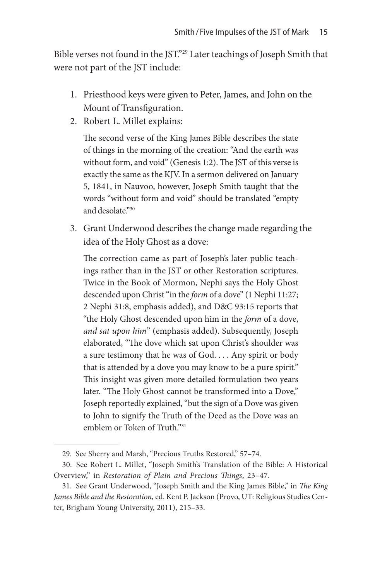Bible verses not found in the JST."29 Later teachings of Joseph Smith that were not part of the JST include:

- 1. Priesthood keys were given to Peter, James, and John on the Mount of Transfiguration.
- 2. Robert L. Millet explains:

The second verse of the King James Bible describes the state of things in the morning of the creation: "And the earth was without form, and void" (Genesis 1:2). The JST of this verse is exactly the same as the KJV. In a sermon delivered on January 5, 1841, in Nauvoo, however, Joseph Smith taught that the words "without form and void" should be translated "empty and desolate."30

3. Grant Underwood describes the change made regarding the idea of the Holy Ghost as a dove:

The correction came as part of Joseph's later public teachings rather than in the JST or other Restoration scriptures. Twice in the Book of Mormon, Nephi says the Holy Ghost descended upon Christ "in the *form* of a dove" (1 Nephi 11:27; 2 Nephi 31:8, emphasis added), and D&C 93:15 reports that "the Holy Ghost descended upon him in the *form* of a dove, *and sat upon him*" (emphasis added). Subsequently, Joseph elaborated, "The dove which sat upon Christ's shoulder was a sure testimony that he was of God. . . . Any spirit or body that is attended by a dove you may know to be a pure spirit." This insight was given more detailed formulation two years later. "The Holy Ghost cannot be transformed into a Dove," Joseph reportedly explained, "but the sign of a Dove was given to John to signify the Truth of the Deed as the Dove was an emblem or Token of Truth<sup>"31</sup>

<sup>29.</sup> See Sherry and Marsh, "Precious Truths Restored," 57–74.

<sup>30.</sup> See Robert L. Millet, "Joseph Smith's Translation of the Bible: A Historical Overview," in *Restoration of Plain and Precious Things*, 23–47.

<sup>31.</sup> See Grant Underwood, "Joseph Smith and the King James Bible," in *The King James Bible and the Restoration*, ed. Kent P. Jackson (Provo, UT: Religious Studies Center, Brigham Young University, 2011), 215–33.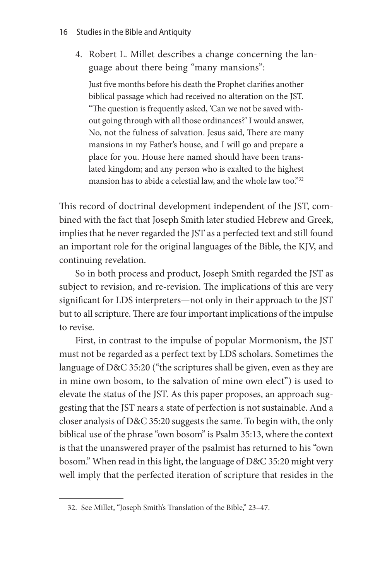4. Robert L. Millet describes a change concerning the language about there being "many mansions":

Just five months before his death the Prophet clarifies another biblical passage which had received no alteration on the JST. "The question is frequently asked, 'Can we not be saved without going through with all those ordinances?' I would answer, No, not the fulness of salvation. Jesus said, There are many mansions in my Father's house, and I will go and prepare a place for you. House here named should have been translated kingdom; and any person who is exalted to the highest mansion has to abide a celestial law, and the whole law too."32

This record of doctrinal development independent of the JST, combined with the fact that Joseph Smith later studied Hebrew and Greek, implies that he never regarded the JST as a perfected text and still found an important role for the original languages of the Bible, the KJV, and continuing revelation.

So in both process and product, Joseph Smith regarded the JST as subject to revision, and re-revision. The implications of this are very significant for LDS interpreters—not only in their approach to the JST but to all scripture. There are four important implications of the impulse to revise.

First, in contrast to the impulse of popular Mormonism, the JST must not be regarded as a perfect text by LDS scholars. Sometimes the language of D&C 35:20 ("the scriptures shall be given, even as they are in mine own bosom, to the salvation of mine own elect") is used to elevate the status of the JST. As this paper proposes, an approach suggesting that the JST nears a state of perfection is not sustainable. And a closer analysis of D&C 35:20 suggests the same. To begin with, the only biblical use of the phrase "own bosom" is Psalm 35:13, where the context is that the unanswered prayer of the psalmist has returned to his "own bosom." When read in this light, the language of D&C 35:20 might very well imply that the perfected iteration of scripture that resides in the

<sup>32.</sup> See Millet, "Joseph Smith's Translation of the Bible," 23–47.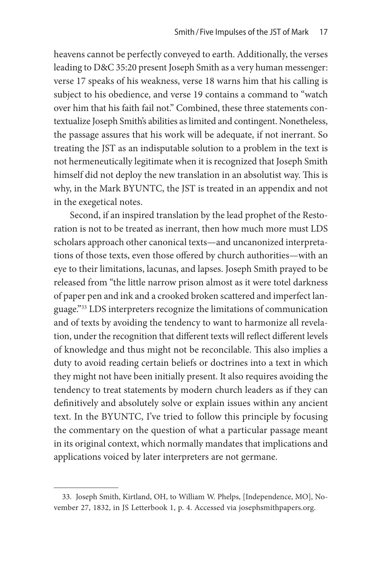heavens cannot be perfectly conveyed to earth. Additionally, the verses leading to D&C 35:20 present Joseph Smith as a very human messenger: verse 17 speaks of his weakness, verse 18 warns him that his calling is subject to his obedience, and verse 19 contains a command to "watch over him that his faith fail not." Combined, these three statements contextualize Joseph Smith's abilities as limited and contingent. Nonetheless, the passage assures that his work will be adequate, if not inerrant. So treating the JST as an indisputable solution to a problem in the text is not hermeneutically legitimate when it is recognized that Joseph Smith himself did not deploy the new translation in an absolutist way. This is why, in the Mark BYUNTC, the JST is treated in an appendix and not in the exegetical notes.

Second, if an inspired translation by the lead prophet of the Restoration is not to be treated as inerrant, then how much more must LDS scholars approach other canonical texts—and uncanonized interpretations of those texts, even those offered by church authorities—with an eye to their limitations, lacunas, and lapses. Joseph Smith prayed to be released from "the little narrow prison almost as it were totel darkness of paper pen and ink and a crooked broken scattered and imperfect language."33 LDS interpreters recognize the limitations of communication and of texts by avoiding the tendency to want to harmonize all revelation, under the recognition that different texts will reflect different levels of knowledge and thus might not be reconcilable. This also implies a duty to avoid reading certain beliefs or doctrines into a text in which they might not have been initially present. It also requires avoiding the tendency to treat statements by modern church leaders as if they can definitively and absolutely solve or explain issues within any ancient text. In the BYUNTC, I've tried to follow this principle by focusing the commentary on the question of what a particular passage meant in its original context, which normally mandates that implications and applications voiced by later interpreters are not germane.

<sup>33.</sup> Joseph Smith, Kirtland, OH, to William W. Phelps, [Independence, MO], November 27, 1832, in JS Letterbook 1, p. 4. Accessed via josephsmithpapers.org.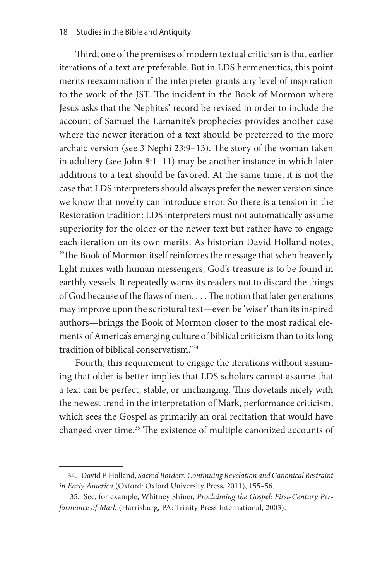Third, one of the premises of modern textual criticism is that earlier iterations of a text are preferable. But in LDS hermeneutics, this point merits reexamination if the interpreter grants any level of inspiration to the work of the JST. The incident in the Book of Mormon where Jesus asks that the Nephites' record be revised in order to include the account of Samuel the Lamanite's prophecies provides another case where the newer iteration of a text should be preferred to the more archaic version (see 3 Nephi 23:9–13). The story of the woman taken in adultery (see John 8:1–11) may be another instance in which later additions to a text should be favored. At the same time, it is not the case that LDS interpreters should always prefer the newer version since we know that novelty can introduce error. So there is a tension in the Restoration tradition: LDS interpreters must not automatically assume superiority for the older or the newer text but rather have to engage each iteration on its own merits. As historian David Holland notes, "The Book of Mormon itself reinforces the message that when heavenly light mixes with human messengers, God's treasure is to be found in earthly vessels. It repeatedly warns its readers not to discard the things of God because of the flaws of men. . . . The notion that later generations may improve upon the scriptural text—even be 'wiser' than its inspired authors—brings the Book of Mormon closer to the most radical elements of America's emerging culture of biblical criticism than to its long tradition of biblical conservatism."34

Fourth, this requirement to engage the iterations without assuming that older is better implies that LDS scholars cannot assume that a text can be perfect, stable, or unchanging. This dovetails nicely with the newest trend in the interpretation of Mark, performance criticism, which sees the Gospel as primarily an oral recitation that would have changed over time.<sup>35</sup> The existence of multiple canonized accounts of

<sup>34.</sup> David F. Holland, *Sacred Borders: Continuing Revelation and Canonical Restraint in Early America* (Oxford: Oxford University Press, 2011), 155–56.

<sup>35.</sup> See, for example, Whitney Shiner, *Proclaiming the Gospel: First-Century Performance of Mark* (Harrisburg, PA: Trinity Press International, 2003).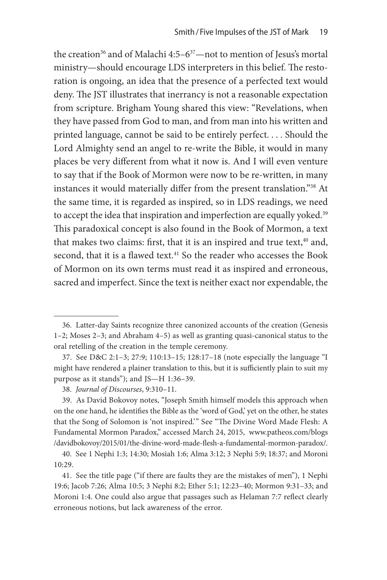the creation<sup>36</sup> and of Malachi 4:5–6<sup>37</sup>—not to mention of Jesus's mortal ministry—should encourage LDS interpreters in this belief. The restoration is ongoing, an idea that the presence of a perfected text would deny. The JST illustrates that inerrancy is not a reasonable expectation from scripture. Brigham Young shared this view: "Revelations, when they have passed from God to man, and from man into his written and printed language, cannot be said to be entirely perfect. . . . Should the Lord Almighty send an angel to re-write the Bible, it would in many places be very different from what it now is. And I will even venture to say that if the Book of Mormon were now to be re-written, in many instances it would materially differ from the present translation."38 At the same time, it is regarded as inspired, so in LDS readings, we need to accept the idea that inspiration and imperfection are equally yoked.<sup>39</sup> This paradoxical concept is also found in the Book of Mormon, a text that makes two claims: first, that it is an inspired and true text,<sup>40</sup> and, second, that it is a flawed text.<sup>41</sup> So the reader who accesses the Book of Mormon on its own terms must read it as inspired and erroneous, sacred and imperfect. Since the text is neither exact nor expendable, the

<sup>36.</sup> Latter-day Saints recognize three canonized accounts of the creation (Genesis 1–2; Moses 2–3; and Abraham 4–5) as well as granting quasi-canonical status to the oral retelling of the creation in the temple ceremony.

<sup>37.</sup> See D&C 2:1–3; 27:9; 110:13–15; 128:17–18 (note especially the language "I might have rendered a plainer translation to this, but it is sufficiently plain to suit my purpose as it stands"); and JS—H 1:36–39.

<sup>38.</sup> *Journal of Discourses*, 9:310–11.

<sup>39.</sup> As David Bokovoy notes, "Joseph Smith himself models this approach when on the one hand, he identifies the Bible as the 'word of God,' yet on the other, he states that the Song of Solomon is 'not inspired.'" See "The Divine Word Made Flesh: A Fundamental Mormon Paradox," accessed March 24, 2015, www.patheos.com/blogs /davidbokovoy/2015/01/the-divine-word-made-flesh-a-fundamental-mormon-paradox/.

<sup>40.</sup> See 1 Nephi 1:3; 14:30; Mosiah 1:6; Alma 3:12; 3 Nephi 5:9; 18:37; and Moroni 10:29.

<sup>41.</sup> See the title page ("if there are faults they are the mistakes of men"), 1 Nephi 19:6; Jacob 7:26; Alma 10:5; 3 Nephi 8:2; Ether 5:1; 12:23–40; Mormon 9:31–33; and Moroni 1:4. One could also argue that passages such as Helaman 7:7 reflect clearly erroneous notions, but lack awareness of the error.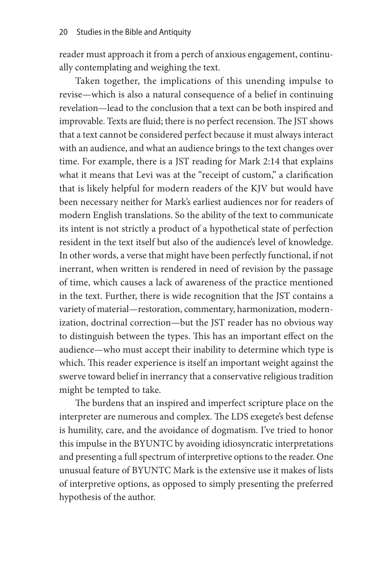reader must approach it from a perch of anxious engagement, continually contemplating and weighing the text.

Taken together, the implications of this unending impulse to revise—which is also a natural consequence of a belief in continuing revelation—lead to the conclusion that a text can be both inspired and improvable. Texts are fluid; there is no perfect recension. The JST shows that a text cannot be considered perfect because it must always interact with an audience, and what an audience brings to the text changes over time. For example, there is a JST reading for Mark 2:14 that explains what it means that Levi was at the "receipt of custom," a clarification that is likely helpful for modern readers of the KJV but would have been necessary neither for Mark's earliest audiences nor for readers of modern English translations. So the ability of the text to communicate its intent is not strictly a product of a hypothetical state of perfection resident in the text itself but also of the audience's level of knowledge. In other words, a verse that might have been perfectly functional, if not inerrant, when written is rendered in need of revision by the passage of time, which causes a lack of awareness of the practice mentioned in the text. Further, there is wide recognition that the JST contains a variety of material—restoration, commentary, harmonization, modernization, doctrinal correction—but the JST reader has no obvious way to distinguish between the types. This has an important effect on the audience—who must accept their inability to determine which type is which. This reader experience is itself an important weight against the swerve toward belief in inerrancy that a conservative religious tradition might be tempted to take.

The burdens that an inspired and imperfect scripture place on the interpreter are numerous and complex. The LDS exegete's best defense is humility, care, and the avoidance of dogmatism. I've tried to honor this impulse in the BYUNTC by avoiding idiosyncratic interpretations and presenting a full spectrum of interpretive options to the reader. One unusual feature of BYUNTC Mark is the extensive use it makes of lists of interpretive options, as opposed to simply presenting the preferred hypothesis of the author.